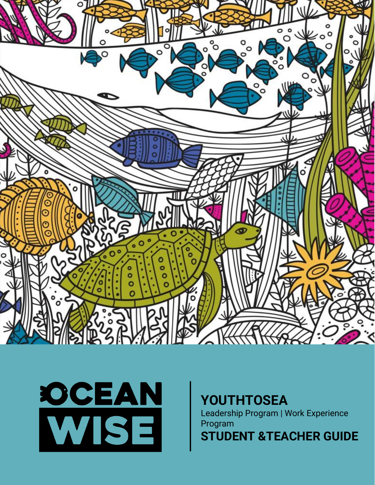



# **YOUTHTOSEA**

Leadership Program | Work Experience Program

**STUDENT &TEACHER GUIDE**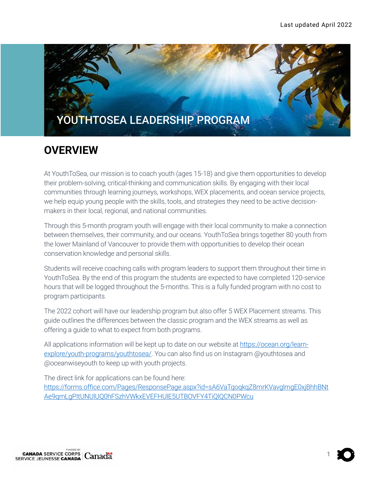

## **OVERVIEW**

At YouthToSea, our mission is to coach youth (ages 15-18) and give them opportunities to develop their problem-solving, critical-thinking and communication skills. By engaging with their local communities through learning journeys, workshops, WEX placements, and ocean service projects, we help equip young people with the skills, tools, and strategies they need to be active decisionmakers in their local, regional, and national communities.

Through this 5-month program youth will engage with their local community to make a connection between themselves, their community, and our oceans. YouthToSea brings together 80 youth from the lower Mainland of Vancouver to provide them with opportunities to develop their ocean conservation knowledge and personal skills.

Students will receive coaching calls with program leaders to support them throughout their time in YouthToSea. By the end of this program the students are expected to have completed 120-service hours that will be logged throughout the 5-months. This is a fully funded program with no cost to program participants.

The 2022 cohort will have our leadership program but also offer 5 WEX Placement streams. This guide outlines the differences between the classic program and the WEX streams as well as offering a guide to what to expect from both programs.

All applications information will be kept up to date on our website at [https://ocean.org/learn](https://ocean.org/learn-explore/youth-programs/youthtosea/)[explore/youth-programs/youthtosea/.](https://ocean.org/learn-explore/youth-programs/youthtosea/) You can also find us on Instagram @youthtosea and @oceanwiseyouth to keep up with youth projects.

The direct link for applications can be found here: [https://forms.office.com/Pages/ResponsePage.aspx?id=sA6VaTqoqkqZ8mrKVavglmgE0xjBhhBNt](https://forms.office.com/Pages/ResponsePage.aspx?id=sA6VaTqoqkqZ8mrKVavglmgE0xjBhhBNtAe9qmLgPItUNUlUQ0hFSzhVWkxEVEFHUlE5UTBOVFY4TiQlQCN0PWcu) [Ae9qmLgPItUNUlUQ0hFSzhVWkxEVEFHUlE5UTBOVFY4TiQlQCN0PWcu](https://forms.office.com/Pages/ResponsePage.aspx?id=sA6VaTqoqkqZ8mrKVavglmgE0xjBhhBNtAe9qmLgPItUNUlUQ0hFSzhVWkxEVEFHUlE5UTBOVFY4TiQlQCN0PWcu)

1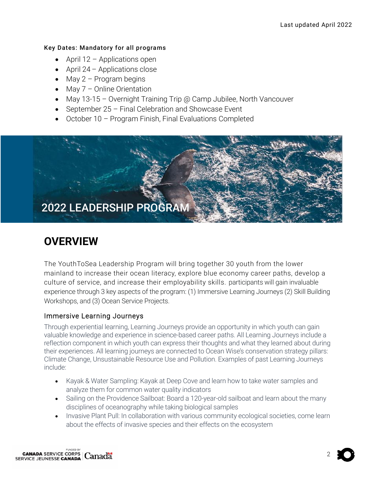#### Key Dates: Mandatory for all programs

- April 12 Applications open
- April 24 Applications close
- May  $2$  Program begins
- May 7 Online Orientation
- May 13-15 Overnight Training Trip @ Camp Jubilee, North Vancouver
- September 25 Final Celebration and Showcase Event
- October 10 Program Finish, Final Evaluations Completed



# **OVERVIEW**

The YouthToSea Leadership Program will bring together 30 youth from the lower mainland to increase their ocean literacy, explore blue economy career paths, develop a culture of service, and increase their employability skills. participants will gain invaluable experience through 3 key aspects of the program: (1) Immersive Learning Journeys (2) Skill Building Workshops, and (3) Ocean Service Projects.

#### Immersive Learning Journeys

Through experiential learning, Learning Journeys provide an opportunity in which youth can gain valuable knowledge and experience in science-based career paths. All Learning Journeys include a reflection component in which youth can express their thoughts and what they learned about during their experiences. All learning journeys are connected to Ocean Wise's conservation strategy pillars: Climate Change, Unsustainable Resource Use and Pollution. Examples of past Learning Journeys include:

- Kayak & Water Sampling: Kayak at Deep Cove and learn how to take water samples and analyze them for common water quality indicators
- Sailing on the Providence Sailboat: Board a 120-year-old sailboat and learn about the many disciplines of oceanography while taking biological samples
- Invasive Plant Pull: In collaboration with various community ecological societies, come learn about the effects of invasive species and their effects on the ecosystem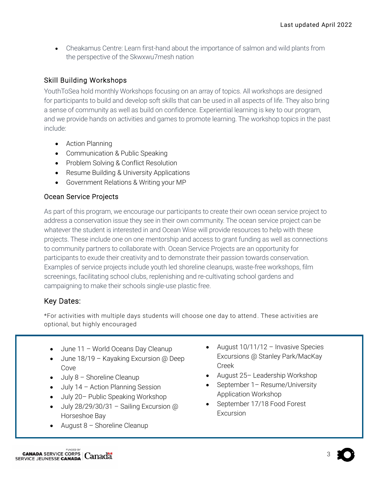• Cheakamus Centre: Learn first-hand about the importance of salmon and wild plants from the perspective of the Skwxwu7mesh nation

#### Skill Building Workshops

YouthToSea hold monthly Workshops focusing on an array of topics. All workshops are designed for participants to build and develop soft skills that can be used in all aspects of life. They also bring a sense of community as well as build on confidence. Experiential learning is key to our program, and we provide hands on activities and games to promote learning. The workshop topics in the past include:

- Action Planning
- Communication & Public Speaking
- Problem Solving & Conflict Resolution
- Resume Building & University Applications
- Government Relations & Writing your MP

#### Ocean Service Projects

As part of this program, we encourage our participants to create their own ocean service project to address a conservation issue they see in their own community. The ocean service project can be whatever the student is interested in and Ocean Wise will provide resources to help with these projects. These include one on one mentorship and access to grant funding as well as connections to community partners to collaborate with. Ocean Service Projects are an opportunity for participants to exude their creativity and to demonstrate their passion towards conservation. Examples of service projects include youth led shoreline cleanups, waste-free workshops, film screenings, facilitating school clubs, replenishing and re-cultivating school gardens and campaigning to make their schools single-use plastic free.

### Key Dates:

I

\*For activities with multiple days students will choose one day to attend . These activities are optional, but highly encouraged

- June 11 World Oceans Day Cleanup
- June 18/19 Kayaking Excursion @ Deep Cove
- July 8 Shoreline Cleanup
- July 14 Action Planning Session
- July 20– Public Speaking Workshop
- July 28/29/30/31 Sailing Excursion @ Horseshoe Bay
- August 8 Shoreline Cleanup
- August 10/11/12 Invasive Species Excursions @ Stanley Park/MacKay Creek
- August 25– Leadership Workshop
- September 1 Resume/University Application Workshop
- September 17/18 Food Forest Excursion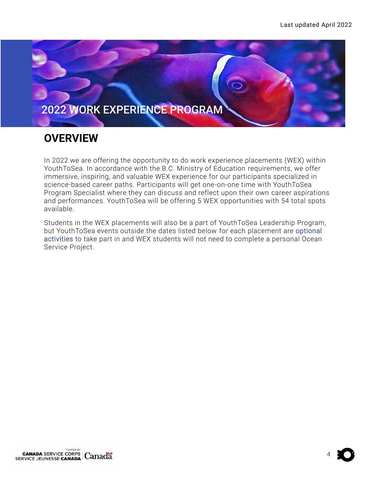

## **OVERVIEW**

In 2022 we are offering the opportunity to do work experience placements (WEX) within YouthToSea. In accordance with the B.C. Ministry of Education requirements, we offer immersive, inspiring, and valuable WEX experience for our participants specialized in science-based career paths. Participants will get one-on-one time with YouthToSea Program Specialist where they can discuss and reflect upon their own career aspirations and performances. YouthToSea will be offering 5 WEX opportunities with 54 total spots available.

Students in the WEX placements will also be a part of YouthToSea Leadership Program, but YouthToSea events outside the dates listed below for each placement are optional activities to take part in and WEX students will not need to complete a personal Ocean Service Project.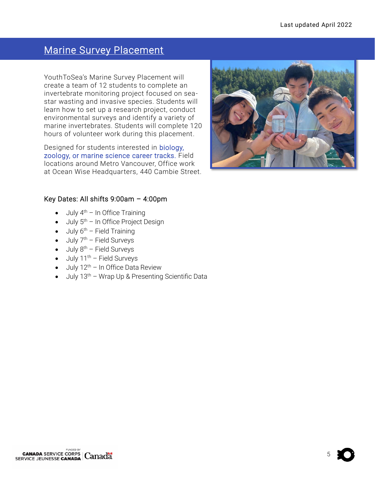## Marine Survey Placement

YouthToSea's Marine Survey Placement will create a team of 12 students to complete an invertebrate monitoring project focused on seastar wasting and invasive species. Students will learn how to set up a research project, conduct environmental surveys and identify a variety of marine invertebrates. Students will complete 120 hours of volunteer work during this placement.

Designed for students interested in biology, zoology, or marine science career tracks. Field locations around Metro Vancouver, Office work at Ocean Wise Headquarters, 440 Cambie Street.



#### Key Dates: All shifts 9:00am – 4:00pm

- $\bullet$  July  $4^{\text{th}}$  In Office Training
- $\bullet$  July 5<sup>th</sup> In Office Project Design
- $\bullet$  July 6<sup>th</sup> Field Training
- $\bullet$  July 7<sup>th</sup> Field Surveys
- $\bullet$  July  $8^{th}$  Field Surveys
- $\bullet$  July 11<sup>th</sup> Field Surveys
- $\bullet$  July 12<sup>th</sup> In Office Data Review
- $\bullet$  July 13<sup>th</sup> Wrap Up & Presenting Scientific Data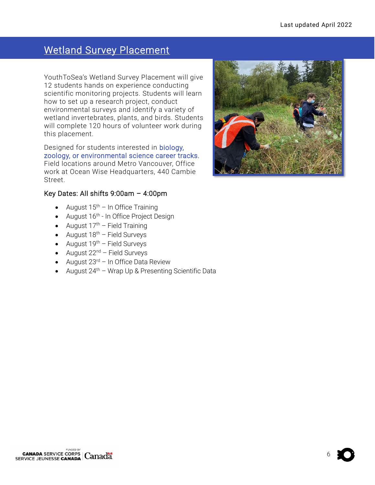## Wetland Survey Placement

YouthToSea's Wetland Survey Placement will give 12 students hands on experience conducting scientific monitoring projects. Students will learn how to set up a research project, conduct environmental surveys and identify a variety of wetland invertebrates, plants, and birds. Students will complete 120 hours of volunteer work during this placement.

Designed for students interested in biology, zoology, or environmental science career tracks. Field locations around Metro Vancouver, Office work at Ocean Wise Headquarters, 440 Cambie Street.

#### Key Dates: All shifts 9:00am – 4:00pm

- August  $15<sup>th</sup>$  In Office Training
- August 16<sup>th</sup> In Office Project Design
- August  $17<sup>th</sup>$  Field Training
- August  $18<sup>th</sup>$  Field Surveys
- August  $19^{th}$  Field Surveys
- August  $22^{nd}$  Field Surveys
- August  $23<sup>rd</sup>$  In Office Data Review
- August  $24^{th}$  Wrap Up & Presenting Scientific Data

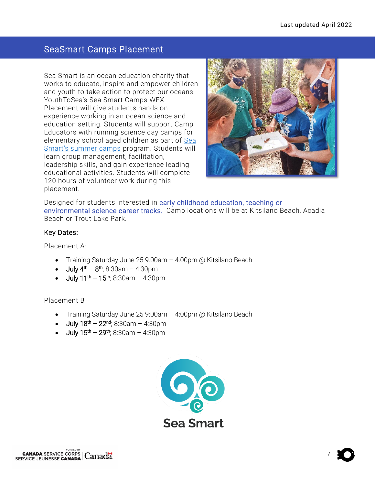### SeaSmart Camps Placement

Sea Smart is an ocean education charity that works to educate, inspire and empower children and youth to take action to protect our oceans. YouthToSea's Sea Smart Camps WEX Placement will give students hands on experience working in an ocean science and education setting. Students will support Camp Educators with running science day camps for elementary school aged children as part of [Sea](https://can01.safelinks.protection.outlook.com/?url=https%3A%2F%2Fseasmartschool.com%2Fsummer-camps&data=04%7C01%7Cmichelle.bienkowski%40ocean.org%7Ce8df2efd048c43ff77cb08da17f17096%7C69950eb0a83a4aaa99f26aca55abe096%7C0%7C0%7C637848623008797442%7CUnknown%7CTWFpbGZsb3d8eyJWIjoiMC4wLjAwMDAiLCJQIjoiV2luMzIiLCJBTiI6Ik1haWwiLCJXVCI6Mn0%3D%7C3000&sdata=%2BEEo5szeXs7MBIAHhpNyggQqn88Dsj1P5TvBjOF266U%3D&reserved=0)  [Smart's summer camps](https://can01.safelinks.protection.outlook.com/?url=https%3A%2F%2Fseasmartschool.com%2Fsummer-camps&data=04%7C01%7Cmichelle.bienkowski%40ocean.org%7Ce8df2efd048c43ff77cb08da17f17096%7C69950eb0a83a4aaa99f26aca55abe096%7C0%7C0%7C637848623008797442%7CUnknown%7CTWFpbGZsb3d8eyJWIjoiMC4wLjAwMDAiLCJQIjoiV2luMzIiLCJBTiI6Ik1haWwiLCJXVCI6Mn0%3D%7C3000&sdata=%2BEEo5szeXs7MBIAHhpNyggQqn88Dsj1P5TvBjOF266U%3D&reserved=0) program. Students will learn group management, facilitation, leadership skills, and gain experience leading educational activities. Students will complete 120 hours of volunteer work during this placement.



Designed for students interested in early childhood education, teaching or environmental science career tracks. Camp locations will be at Kitsilano Beach, Acadia Beach or Trout Lake Park.

#### Key Dates:

Placement A:

- Training Saturday June 25 9:00am 4:00pm @ Kitsilano Beach
- $\bullet$  July 4<sup>th</sup> 8<sup>th</sup>; 8:30am 4:30pm
- July 11<sup>th</sup> 15<sup>th</sup>; 8:30am 4:30pm

Placement B

- Training Saturday June 25 9:00am 4:00pm @ Kitsilano Beach
- July 18<sup>th</sup> 22<sup>nd</sup>; 8:30am 4:30pm
- July 15<sup>th</sup> 29<sup>th</sup>; 8:30am 4:30pm

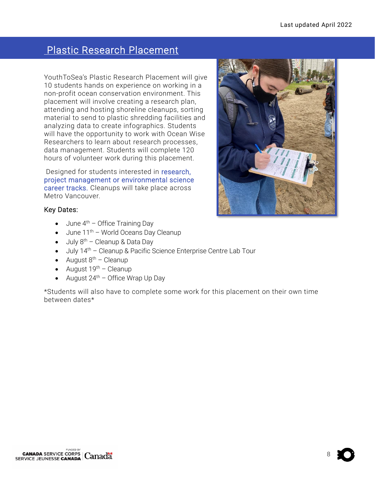## Plastic Research Placement

YouthToSea's Plastic Research Placement will give 10 students hands on experience on working in a non-profit ocean conservation environment. This placement will involve creating a research plan, attending and hosting shoreline cleanups, sorting material to send to plastic shredding facilities and analyzing data to create infographics. Students will have the opportunity to work with Ocean Wise Researchers to learn about research processes, data management. Students will complete 120 hours of volunteer work during this placement.

Designed for students interested in research, project management or environmental science career tracks. Cleanups will take place across Metro Vancouver.



#### Key Dates:

- June  $4^{th}$  Office Training Day
- $\bullet$  June 11<sup>th</sup> World Oceans Day Cleanup
- July  $8<sup>th</sup>$  Cleanup & Data Day
- July 14<sup>th</sup> Cleanup & Pacific Science Enterprise Centre Lab Tour
- August  $8<sup>th</sup>$  Cleanup
- August  $19^{th}$  Cleanup
- August  $24<sup>th</sup>$  Office Wrap Up Day

\*Students will also have to complete some work for this placement on their own time between dates\*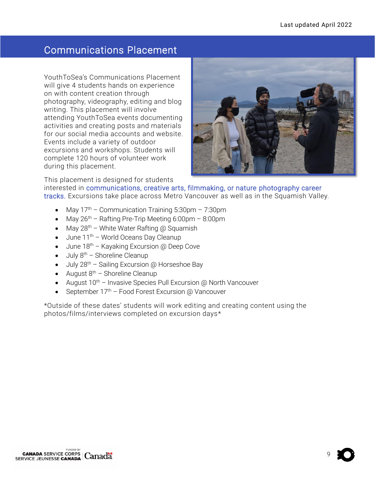### Communications Placement

YouthToSea's Communications Placement will give 4 students hands on experience on with content creation through photography, videography, editing and blog writing. This placement will involve attending YouthToSea events documenting activities and creating posts and materials for our social media accounts and website. Events include a variety of outdoor excursions and workshops. Students will complete 120 hours of volunteer work during this placement.



This placement is designed for students

interested in communications, creative arts, filmmaking, or nature photography career tracks. Excursions take place across Metro Vancouver as well as in the Squamish Valley.

- May  $17<sup>th</sup>$  Communication Training 5:30pm 7:30pm
- May  $26<sup>th</sup>$  Rafting Pre-Trip Meeting 6:00pm 8:00pm
- May  $28^{th}$  White Water Rafting @ Squamish
- $\bullet$  June 11<sup>th</sup> World Oceans Day Cleanup
- $\bullet$  June 18<sup>th</sup> Kayaking Excursion @ Deep Cove
- $\bullet$  July  $8^{th}$  Shoreline Cleanup
- July  $28^{th}$  Sailing Excursion @ Horseshoe Bay
- August  $8^{th}$  Shoreline Cleanup
- August  $10^{th}$  Invasive Species Pull Excursion @ North Vancouver
- September 17th Food Forest Excursion @ Vancouver

\*Outside of these dates' students will work editing and creating content using the photos/films/interviews completed on excursion days\*